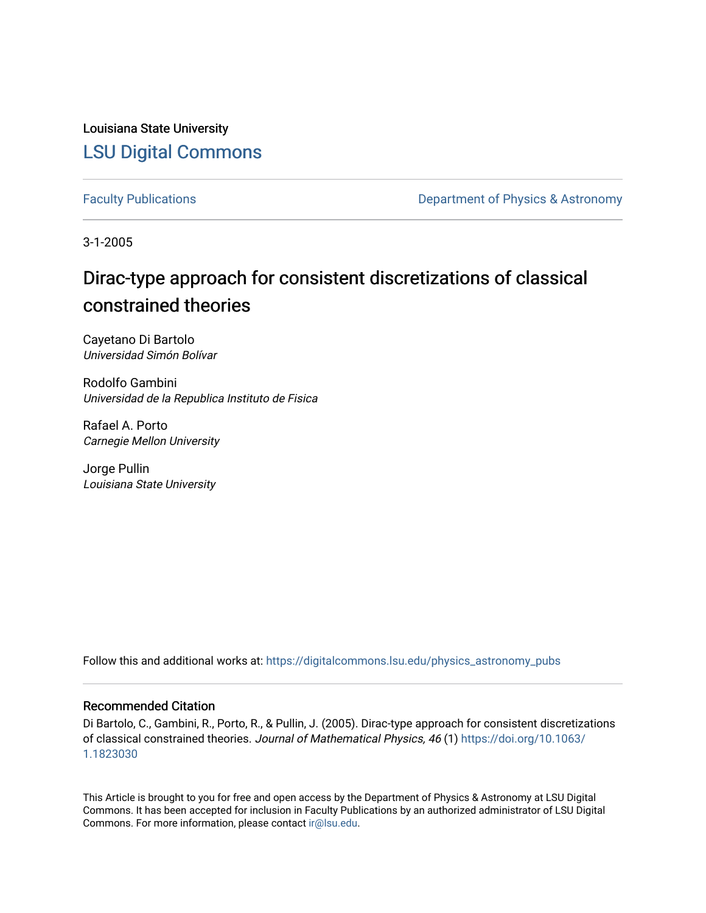Louisiana State University [LSU Digital Commons](https://digitalcommons.lsu.edu/)

[Faculty Publications](https://digitalcommons.lsu.edu/physics_astronomy_pubs) **Exercise 2 and Table 2 and Table 2 and Table 2 and Table 2 and Table 2 and Table 2 and Table 2 and Table 2 and Table 2 and Table 2 and Table 2 and Table 2 and Table 2 and Table 2 and Table 2 and Table** 

3-1-2005

# Dirac-type approach for consistent discretizations of classical constrained theories

Cayetano Di Bartolo Universidad Simón Bolívar

Rodolfo Gambini Universidad de la Republica Instituto de Fisica

Rafael A. Porto Carnegie Mellon University

Jorge Pullin Louisiana State University

Follow this and additional works at: [https://digitalcommons.lsu.edu/physics\\_astronomy\\_pubs](https://digitalcommons.lsu.edu/physics_astronomy_pubs?utm_source=digitalcommons.lsu.edu%2Fphysics_astronomy_pubs%2F4381&utm_medium=PDF&utm_campaign=PDFCoverPages) 

## Recommended Citation

Di Bartolo, C., Gambini, R., Porto, R., & Pullin, J. (2005). Dirac-type approach for consistent discretizations of classical constrained theories. Journal of Mathematical Physics, 46 (1) [https://doi.org/10.1063/](https://doi.org/10.1063/1.1823030) [1.1823030](https://doi.org/10.1063/1.1823030) 

This Article is brought to you for free and open access by the Department of Physics & Astronomy at LSU Digital Commons. It has been accepted for inclusion in Faculty Publications by an authorized administrator of LSU Digital Commons. For more information, please contact [ir@lsu.edu](mailto:ir@lsu.edu).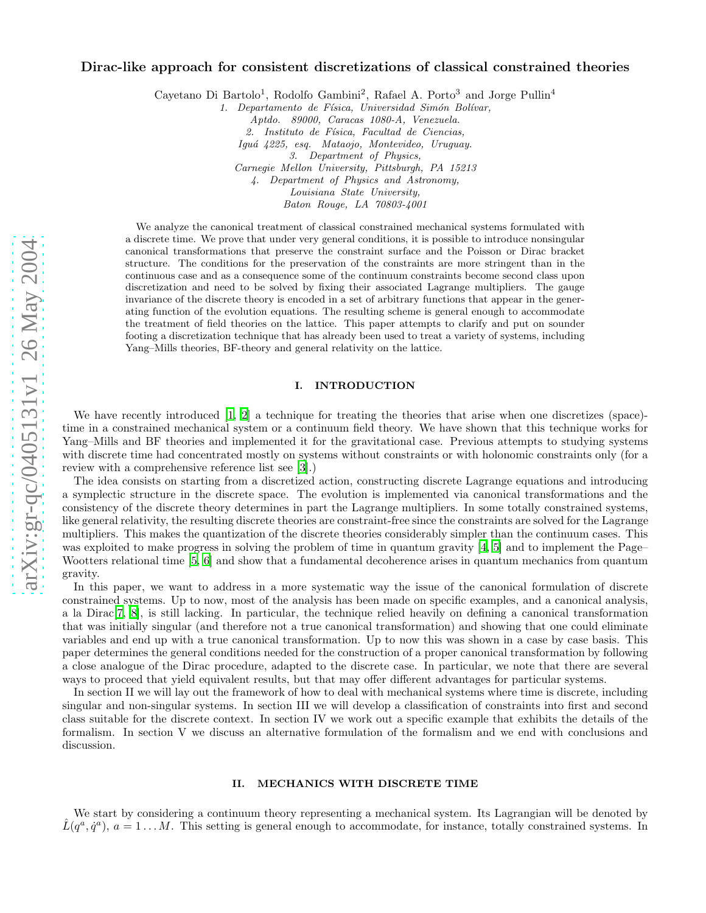## Dirac-like approach for consistent discretizations of classical constrained theories

Cayetano Di Bartolo<sup>1</sup>, Rodolfo Gambini<sup>2</sup>, Rafael A. Porto<sup>3</sup> and Jorge Pullin<sup>4</sup>

1. Departamento de Física, Universidad Simón Bolívar,

Aptdo. 89000, Caracas 1080-A, Venezuela.

2. Instituto de Física, Facultad de Ciencias,

Iguá 4225, esq. Mataojo, Montevideo, Uruguay.

3. Department of Physics,

Carnegie Mellon University, Pittsburgh, PA 15213

4. Department of Physics and Astronomy,

Louisiana State University, Baton Rouge, LA 70803-4001

We analyze the canonical treatment of classical constrained mechanical systems formulated with a discrete time. We prove that under very general conditions, it is possible to introduce nonsingular canonical transformations that preserve the constraint surface and the Poisson or Dirac bracket structure. The conditions for the preservation of the constraints are more stringent than in the continuous case and as a consequence some of the continuum constraints become second class upon discretization and need to be solved by fixing their associated Lagrange multipliers. The gauge invariance of the discrete theory is encoded in a set of arbitrary functions that appear in the generating function of the evolution equations. The resulting scheme is general enough to accommodate the treatment of field theories on the lattice. This paper attempts to clarify and put on sounder footing a discretization technique that has already been used to treat a variety of systems, including Yang–Mills theories, BF-theory and general relativity on the lattice.

## I. INTRODUCTION

We have recently introduced [\[1,](#page-11-0) [2\]](#page-11-1) a technique for treating the theories that arise when one discretizes (space)time in a constrained mechanical system or a continuum field theory. We have shown that this technique works for Yang–Mills and BF theories and implemented it for the gravitational case. Previous attempts to studying systems with discrete time had concentrated mostly on systems without constraints or with holonomic constraints only (for a review with a comprehensive reference list see [\[3](#page-11-2)].)

The idea consists on starting from a discretized action, constructing discrete Lagrange equations and introducing a symplectic structure in the discrete space. The evolution is implemented via canonical transformations and the consistency of the discrete theory determines in part the Lagrange multipliers. In some totally constrained systems, like general relativity, the resulting discrete theories are constraint-free since the constraints are solved for the Lagrange multipliers. This makes the quantization of the discrete theories considerably simpler than the continuum cases. This was exploited to make progress in solving the problem of time in quantum gravity [\[4](#page-11-3), [5\]](#page-11-4) and to implement the Page– Wootters relational time [\[5,](#page-11-4) [6\]](#page-11-5) and show that a fundamental decoherence arises in quantum mechanics from quantum gravity.

In this paper, we want to address in a more systematic way the issue of the canonical formulation of discrete constrained systems. Up to now, most of the analysis has been made on specific examples, and a canonical analysis, a la Dirac[\[7,](#page-11-6) [8\]](#page-11-7), is still lacking. In particular, the technique relied heavily on defining a canonical transformation that was initially singular (and therefore not a true canonical transformation) and showing that one could eliminate variables and end up with a true canonical transformation. Up to now this was shown in a case by case basis. This paper determines the general conditions needed for the construction of a proper canonical transformation by following a close analogue of the Dirac procedure, adapted to the discrete case. In particular, we note that there are several ways to proceed that yield equivalent results, but that may offer different advantages for particular systems.

In section II we will lay out the framework of how to deal with mechanical systems where time is discrete, including singular and non-singular systems. In section III we will develop a classification of constraints into first and second class suitable for the discrete context. In section IV we work out a specific example that exhibits the details of the formalism. In section V we discuss an alternative formulation of the formalism and we end with conclusions and discussion.

#### II. MECHANICS WITH DISCRETE TIME

We start by considering a continuum theory representing a mechanical system. Its Lagrangian will be denoted by  $\hat{L}(q^a, \dot{q}^a)$ ,  $a = 1...M$ . This setting is general enough to accommodate, for instance, totally constrained systems. In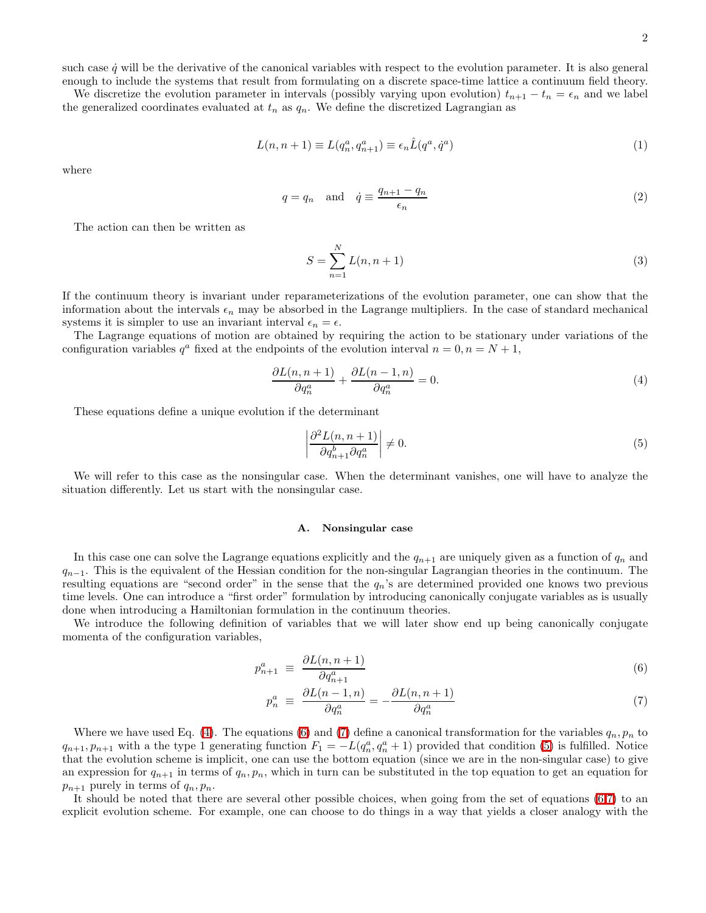such case  $\dot{q}$  will be the derivative of the canonical variables with respect to the evolution parameter. It is also general enough to include the systems that result from formulating on a discrete space-time lattice a continuum field theory.

We discretize the evolution parameter in intervals (possibly varying upon evolution)  $t_{n+1} - t_n = \epsilon_n$  and we label the generalized coordinates evaluated at  $t_n$  as  $q_n$ . We define the discretized Lagrangian as

$$
L(n, n+1) \equiv L(q_n^a, q_{n+1}^a) \equiv \epsilon_n \hat{L}(q^a, \dot{q}^a)
$$
\n<sup>(1)</sup>

where

$$
q = q_n \quad \text{and} \quad \dot{q} \equiv \frac{q_{n+1} - q_n}{\epsilon_n} \tag{2}
$$

The action can then be written as

$$
S = \sum_{n=1}^{N} L(n, n+1)
$$
 (3)

If the continuum theory is invariant under reparameterizations of the evolution parameter, one can show that the information about the intervals  $\epsilon_n$  may be absorbed in the Lagrange multipliers. In the case of standard mechanical systems it is simpler to use an invariant interval  $\epsilon_n = \epsilon$ .

The Lagrange equations of motion are obtained by requiring the action to be stationary under variations of the configuration variables  $q^a$  fixed at the endpoints of the evolution interval  $n = 0, n = N + 1$ ,

<span id="page-2-2"></span><span id="page-2-0"></span>
$$
\frac{\partial L(n, n+1)}{\partial q_n^a} + \frac{\partial L(n-1, n)}{\partial q_n^a} = 0.
$$
\n(4)

These equations define a unique evolution if the determinant

$$
\left| \frac{\partial^2 L(n, n+1)}{\partial q_{n+1}^b \partial q_n^a} \right| \neq 0.
$$
\n<sup>(5)</sup>

We will refer to this case as the nonsingular case. When the determinant vanishes, one will have to analyze the situation differently. Let us start with the nonsingular case.

#### A. Nonsingular case

In this case one can solve the Lagrange equations explicitly and the  $q_{n+1}$  are uniquely given as a function of  $q_n$  and  $q_{n-1}$ . This is the equivalent of the Hessian condition for the non-singular Lagrangian theories in the continuum. The resulting equations are "second order" in the sense that the  $q_n$ 's are determined provided one knows two previous time levels. One can introduce a "first order" formulation by introducing canonically conjugate variables as is usually done when introducing a Hamiltonian formulation in the continuum theories.

We introduce the following definition of variables that we will later show end up being canonically conjugate momenta of the configuration variables,

<span id="page-2-1"></span>
$$
p_{n+1}^a \equiv \frac{\partial L(n, n+1)}{\partial q_{n+1}^a} \tag{6}
$$

$$
p_n^a \equiv \frac{\partial L(n-1,n)}{\partial q_n^a} = -\frac{\partial L(n,n+1)}{\partial q_n^a} \tag{7}
$$

Where we have used Eq. [\(4\)](#page-2-0). The equations [\(6\)](#page-2-1) and [\(7\)](#page-2-1) define a canonical transformation for the variables  $q_n, p_n$  to  $q_{n+1}, p_{n+1}$  with a the type 1 generating function  $F_1 = -L(q_n^a, q_n^a + 1)$  provided that condition [\(5\)](#page-2-2) is fulfilled. Notice that the evolution scheme is implicit, one can use the bottom equation (since we are in the non-singular case) to give an expression for  $q_{n+1}$  in terms of  $q_n, p_n$ , which in turn can be substituted in the top equation to get an equation for  $p_{n+1}$  purely in terms of  $q_n, p_n$ .

It should be noted that there are several other possible choices, when going from the set of equations [\(6,7\)](#page-2-1) to an explicit evolution scheme. For example, one can choose to do things in a way that yields a closer analogy with the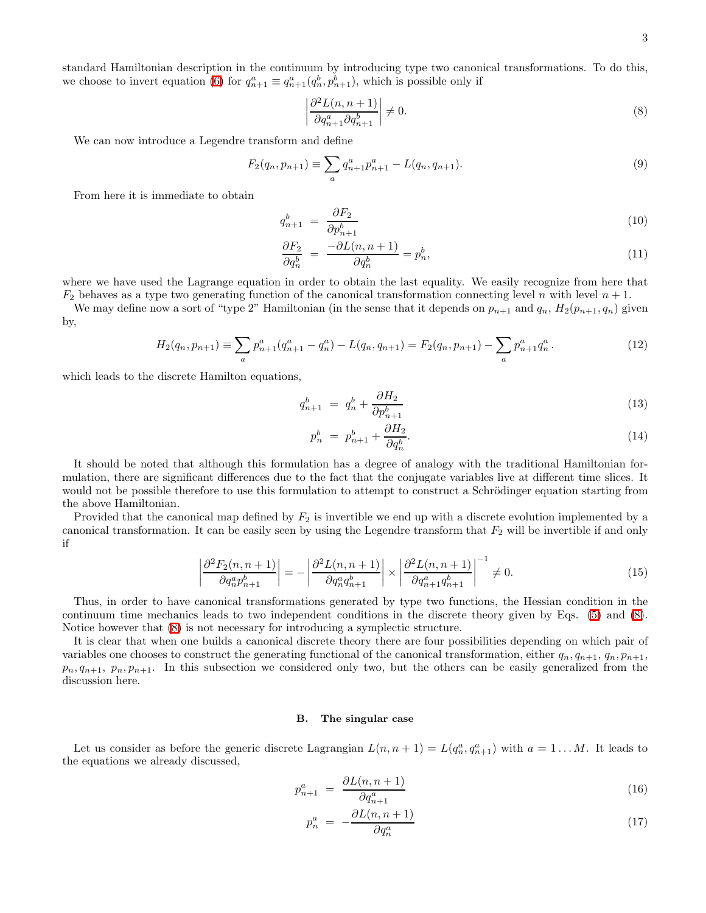standard Hamiltonian description in the continuum by introducing type two canonical transformations. To do this, we choose to invert equation [\(6\)](#page-2-1) for  $q_{n+1}^a \equiv q_{n+1}^a (q_n^b, p_{n+1}^b)$ , which is possible only if

$$
\left| \frac{\partial^2 L(n, n+1)}{\partial q_{n+1}^a \partial q_{n+1}^b} \right| \neq 0.
$$
\n(8)

We can now introduce a Legendre transform and define

<span id="page-3-0"></span>
$$
F_2(q_n, p_{n+1}) \equiv \sum_a q_{n+1}^a p_{n+1}^a - L(q_n, q_{n+1}).
$$
\n(9)

From here it is immediate to obtain

$$
q_{n+1}^b = \frac{\partial F_2}{\partial p_{n+1}^b} \tag{10}
$$

$$
\frac{\partial F_2}{\partial q_n^b} = \frac{-\partial L(n, n+1)}{\partial q_n^b} = p_n^b,\tag{11}
$$

where we have used the Lagrange equation in order to obtain the last equality. We easily recognize from here that  $F_2$  behaves as a type two generating function of the canonical transformation connecting level n with level  $n + 1$ .

<span id="page-3-2"></span>We may define now a sort of "type 2" Hamiltonian (in the sense that it depends on  $p_{n+1}$  and  $q_n$ ,  $H_2(p_{n+1}, q_n)$  given by,

$$
H_2(q_n, p_{n+1}) \equiv \sum_a p_{n+1}^a (q_{n+1}^a - q_n^a) - L(q_n, q_{n+1}) = F_2(q_n, p_{n+1}) - \sum_a p_{n+1}^a q_n^a.
$$
 (12)

which leads to the discrete Hamilton equations,

$$
q_{n+1}^b = q_n^b + \frac{\partial H_2}{\partial p_{n+1}^b} \tag{13}
$$

$$
p_n^b = p_{n+1}^b + \frac{\partial H_2}{\partial q_n^b}.\tag{14}
$$

It should be noted that although this formulation has a degree of analogy with the traditional Hamiltonian formulation, there are significant differences due to the fact that the conjugate variables live at different time slices. It would not be possible therefore to use this formulation to attempt to construct a Schrödinger equation starting from the above Hamiltonian.

Provided that the canonical map defined by  $F_2$  is invertible we end up with a discrete evolution implemented by a canonical transformation. It can be easily seen by using the Legendre transform that  $F_2$  will be invertible if and only if

$$
\left| \frac{\partial^2 F_2(n, n+1)}{\partial q_n^a p_{n+1}^b} \right| = - \left| \frac{\partial^2 L(n, n+1)}{\partial q_n^a q_{n+1}^b} \right| \times \left| \frac{\partial^2 L(n, n+1)}{\partial q_{n+1}^a q_{n+1}^b} \right|^{-1} \neq 0.
$$
\n(15)

Thus, in order to have canonical transformations generated by type two functions, the Hessian condition in the continuum time mechanics leads to two independent conditions in the discrete theory given by Eqs. [\(5\)](#page-2-2) and [\(8\)](#page-3-0). Notice however that [\(8\)](#page-3-0) is not necessary for introducing a symplectic structure.

It is clear that when one builds a canonical discrete theory there are four possibilities depending on which pair of variables one chooses to construct the generating functional of the canonical transformation, either  $q_n, q_{n+1}, q_n, p_{n+1}$ ,  $p_n, q_{n+1}, p_n, p_{n+1}$ . In this subsection we considered only two, but the others can be easily generalized from the discussion here.

#### B. The singular case

Let us consider as before the generic discrete Lagrangian  $L(n, n + 1) = L(q_n^a, q_{n+1}^a)$  with  $a = 1...M$ . It leads to the equations we already discussed,

<span id="page-3-1"></span>
$$
p_{n+1}^a = \frac{\partial L(n, n+1)}{\partial q_{n+1}^a} \tag{16}
$$

$$
p_n^a = -\frac{\partial L(n, n+1)}{\partial q_n^a} \tag{17}
$$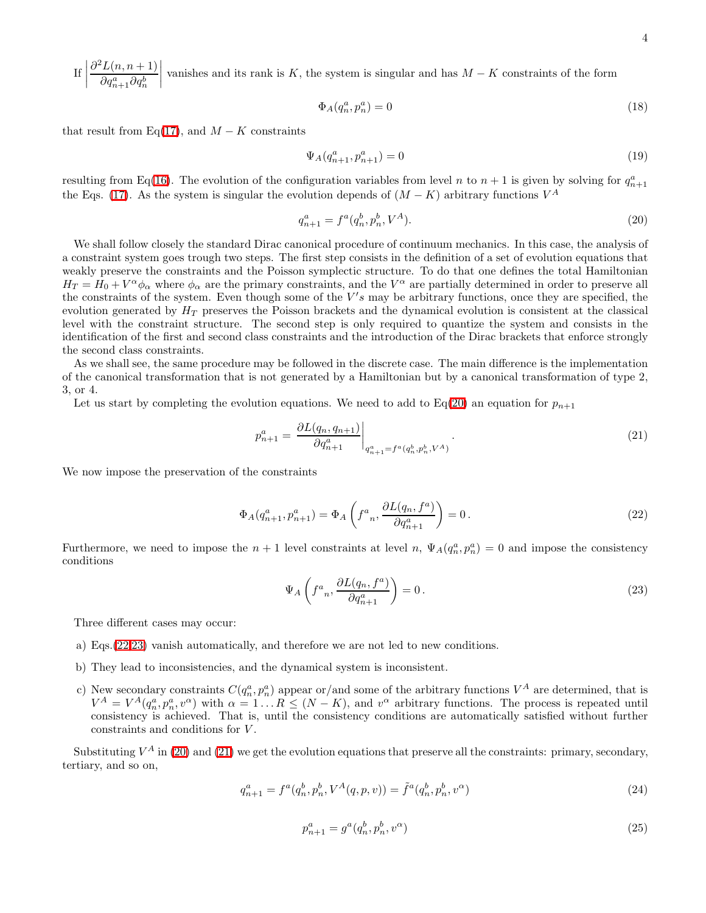If  $\begin{array}{c} \hline \rule{0pt}{2ex} \rule{0pt}{2ex} \rule{0pt}{2ex} \rule{0pt}{2ex} \rule{0pt}{2ex} \rule{0pt}{2ex} \rule{0pt}{2ex} \rule{0pt}{2ex} \rule{0pt}{2ex} \rule{0pt}{2ex} \rule{0pt}{2ex} \rule{0pt}{2ex} \rule{0pt}{2ex} \rule{0pt}{2ex} \rule{0pt}{2ex} \rule{0pt}{2ex} \rule{0pt}{2ex} \rule{0pt}{2ex} \rule{0pt}{2ex} \rule{0pt}{2ex} \rule{0pt}{2ex} \rule{0pt}{2ex} \rule{0pt}{2ex} \rule{$  $\partial^2 L(n,n+1)$  $\partial q_{n+1}^a \partial q_n^b$  $\begin{array}{c} \hline \rule{0pt}{2ex} \rule{0pt}{2ex} \rule{0pt}{2ex} \rule{0pt}{2ex} \rule{0pt}{2ex} \rule{0pt}{2ex} \rule{0pt}{2ex} \rule{0pt}{2ex} \rule{0pt}{2ex} \rule{0pt}{2ex} \rule{0pt}{2ex} \rule{0pt}{2ex} \rule{0pt}{2ex} \rule{0pt}{2ex} \rule{0pt}{2ex} \rule{0pt}{2ex} \rule{0pt}{2ex} \rule{0pt}{2ex} \rule{0pt}{2ex} \rule{0pt}{2ex} \rule{0pt}{2ex} \rule{0pt}{2ex} \rule{0pt}{2ex} \rule{$ vanishes and its rank is K, the system is singular and has  $M - K$  constraints of the form

$$
\Phi_A(q_n^a, p_n^a) = 0\tag{18}
$$

that result from Eq[\(17\)](#page-3-1), and  $M - K$  constraints

$$
\Psi_A(q_{n+1}^a, p_{n+1}^a) = 0 \tag{19}
$$

resulting from Eq[\(16\)](#page-3-1). The evolution of the configuration variables from level n to  $n+1$  is given by solving for  $q_{n+1}^a$ the Eqs. [\(17\)](#page-3-1). As the system is singular the evolution depends of  $(M - K)$  arbitrary functions  $V^A$ 

<span id="page-4-0"></span>
$$
q_{n+1}^a = f^a(q_n^b, p_n^b, V^A). \tag{20}
$$

We shall follow closely the standard Dirac canonical procedure of continuum mechanics. In this case, the analysis of a constraint system goes trough two steps. The first step consists in the definition of a set of evolution equations that weakly preserve the constraints and the Poisson symplectic structure. To do that one defines the total Hamiltonian  $H_T = H_0 + V^{\alpha} \phi_{\alpha}$  where  $\phi_{\alpha}$  are the primary constraints, and the  $V^{\alpha}$  are partially determined in order to preserve all the constraints of the system. Even though some of the  $V's$  may be arbitrary functions, once they are specified, the evolution generated by  $H_T$  preserves the Poisson brackets and the dynamical evolution is consistent at the classical level with the constraint structure. The second step is only required to quantize the system and consists in the identification of the first and second class constraints and the introduction of the Dirac brackets that enforce strongly the second class constraints.

As we shall see, the same procedure may be followed in the discrete case. The main difference is the implementation of the canonical transformation that is not generated by a Hamiltonian but by a canonical transformation of type 2, 3, or 4.

Let us start by completing the evolution equations. We need to add to Eq[\(20\)](#page-4-0) an equation for  $p_{n+1}$ 

<span id="page-4-3"></span>
$$
p_{n+1}^a = \left. \frac{\partial L(q_n, q_{n+1})}{\partial q_{n+1}^a} \right|_{q_{n+1}^a = f^a(q_n^b, p_n^b, V^A)}.
$$
\n
$$
(21)
$$

We now impose the preservation of the constraints

<span id="page-4-2"></span><span id="page-4-1"></span>
$$
\Phi_A(q_{n+1}^a, p_{n+1}^a) = \Phi_A\left(f_{n}^a, \frac{\partial L(q_n, f^a)}{\partial q_{n+1}^a}\right) = 0.
$$
\n(22)

Furthermore, we need to impose the  $n+1$  level constraints at level  $n, \Psi_A(q_n^a, p_n^a) = 0$  and impose the consistency conditions

$$
\Psi_A \left( f^a{}_n, \frac{\partial L(q_n, f^a)}{\partial q^a_{n+1}} \right) = 0. \tag{23}
$$

Three different cases may occur:

- a) Eqs.[\(22](#page-4-1)[,23\)](#page-4-2) vanish automatically, and therefore we are not led to new conditions.
- b) They lead to inconsistencies, and the dynamical system is inconsistent.
- c) New secondary constraints  $C(q_n^a, p_n^a)$  appear or/and some of the arbitrary functions  $V^A$  are determined, that is  $V^A = V^A(q_n^a, p_n^a, v^\alpha)$  with  $\alpha = 1...R \leq (N - K)$ , and  $v^\alpha$  arbitrary functions. The process is repeated until consistency is achieved. That is, until the consistency conditions are automatically satisfied without further constraints and conditions for V.

Substituting  $V^A$  in [\(20\)](#page-4-0) and [\(21\)](#page-4-3) we get the evolution equations that preserve all the constraints: primary, secondary, tertiary, and so on,

<span id="page-4-5"></span><span id="page-4-4"></span>
$$
q_{n+1}^a = f^a(q_n^b, p_n^b, V^A(q, p, v)) = \tilde{f}^a(q_n^b, p_n^b, v^\alpha)
$$
\n(24)

$$
p_{n+1}^a = g^a(q_n^b, p_n^b, v^\alpha) \tag{25}
$$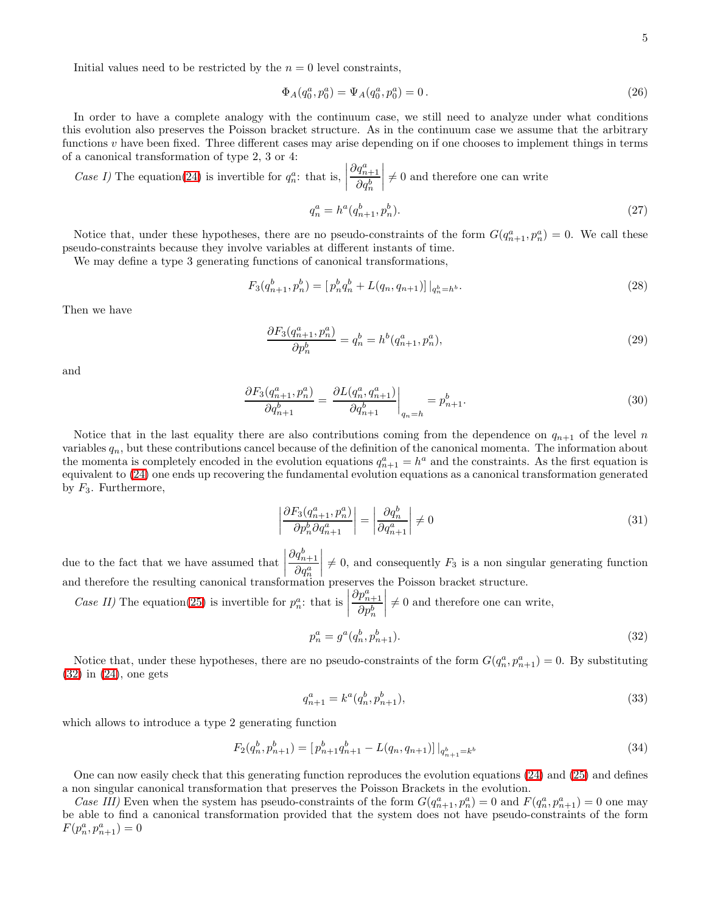Initial values need to be restricted by the  $n = 0$  level constraints,

$$
\Phi_A(q_0^a, p_0^a) = \Psi_A(q_0^a, p_0^a) = 0.
$$
\n(26)

In order to have a complete analogy with the continuum case, we still need to analyze under what conditions this evolution also preserves the Poisson bracket structure. As in the continuum case we assume that the arbitrary functions  $v$  have been fixed. Three different cases may arise depending on if one chooses to implement things in terms of a canonical transformation of type 2, 3 or 4:

Case I) The equation[\(24\)](#page-4-4) is invertible for  $q_n^a$ : that is,  $\begin{array}{c} \begin{array}{c} \begin{array}{c} \end{array} \\ \begin{array}{c} \end{array} \end{array} \end{array}$  $\partial q^a_{n+1}$  $\partial q^b_n$   $\neq 0$  and therefore one can write

$$
q_n^a = h^a(q_{n+1}^b, p_n^b). \tag{27}
$$

Notice that, under these hypotheses, there are no pseudo-constraints of the form  $G(q_{n+1}^a, p_n^a) = 0$ . We call these pseudo-constraints because they involve variables at different instants of time.

We may define a type 3 generating functions of canonical transformations,

<span id="page-5-1"></span>
$$
F_3(q_{n+1}^b, p_n^b) = [p_n^b q_n^b + L(q_n, q_{n+1})] \big|_{q_n^b = h^b}.
$$
\n(28)

Then we have

$$
\frac{\partial F_3(q_{n+1}^a, p_n^a)}{\partial p_n^b} = q_n^b = h^b(q_{n+1}^a, p_n^a),\tag{29}
$$

and

$$
\frac{\partial F_3(q_{n+1}^a, p_n^a)}{\partial q_{n+1}^b} = \left. \frac{\partial L(q_n^a, q_{n+1}^a)}{\partial q_{n+1}^b} \right|_{q_n = h} = p_{n+1}^b.
$$
\n(30)

Notice that in the last equality there are also contributions coming from the dependence on  $q_{n+1}$  of the level n variables  $q_n$ , but these contributions cancel because of the definition of the canonical momenta. The information about the momenta is completely encoded in the evolution equations  $q_{n+1}^a = h^a$  and the constraints. As the first equation is equivalent to [\(24\)](#page-4-4) one ends up recovering the fundamental evolution equations as a canonical transformation generated by  $F_3$ . Furthermore,

$$
\left| \frac{\partial F_3(q_{n+1}^a, p_n^a)}{\partial p_n^b \partial q_{n+1}^a} \right| = \left| \frac{\partial q_n^b}{\partial q_{n+1}^a} \right| \neq 0 \tag{31}
$$

due to the fact that we have assumed that  $\begin{array}{|c|c|} \hline \multicolumn{1}{|c|}{3} & \multicolumn{1}{|c|}{4} \multicolumn{1}{|c|}{5} \multicolumn{1}{|c|}{6} \multicolumn{1}{|c|}{6} \multicolumn{1}{|c|}{6} \multicolumn{1}{|c|}{5} \multicolumn{1}{|c|}{6} \multicolumn{1}{|c|}{6} \multicolumn{1}{|c|}{6} \multicolumn{1}{|c|}{6} \multicolumn{1}{|c|}{6} \multicolumn{1}{|c|}{6} \multicolumn{1}{|c|}{6} \multicolumn{1}{|c|}{6} \multicolumn{1}{|c|$  $\partial q_{n+1}^b$  $\partial q^a_n$  $\neq 0$ , and consequently  $F_3$  is a non singular generating function and therefore the resulting canonical transformation preserves the Poisson bracket structure.

Case II) The equation[\(25\)](#page-4-5) is invertible for  $p_n^a$ : that is  $\partial p_{n+1}^a$  $\partial p_{n}^b$  $\begin{array}{c} \hline \end{array}$  $\neq 0$  and therefore one can write,

<span id="page-5-0"></span>
$$
p_n^a = g^a(q_n^b, p_{n+1}^b). \tag{32}
$$

Notice that, under these hypotheses, there are no pseudo-constraints of the form  $G(q_n^a, p_{n+1}^a) = 0$ . By substituting [\(32\)](#page-5-0) in [\(24\)](#page-4-4), one gets

$$
q_{n+1}^a = k^a(q_n^b, p_{n+1}^b), \tag{33}
$$

which allows to introduce a type 2 generating function

$$
F_2(q_n^b, p_{n+1}^b) = [p_{n+1}^b q_{n+1}^b - L(q_n, q_{n+1})] \big|_{q_{n+1}^b = k^b}
$$
\n(34)

One can now easily check that this generating function reproduces the evolution equations [\(24\)](#page-4-4) and [\(25\)](#page-4-5) and defines a non singular canonical transformation that preserves the Poisson Brackets in the evolution.

Case III) Even when the system has pseudo-constraints of the form  $G(q_{n+1}^a, p_n^a) = 0$  and  $F(q_n^a, p_{n+1}^a) = 0$  one may be able to find a canonical transformation provided that the system does not have pseudo-constraints of the form  $F(p_n^a, p_{n+1}^a) = 0$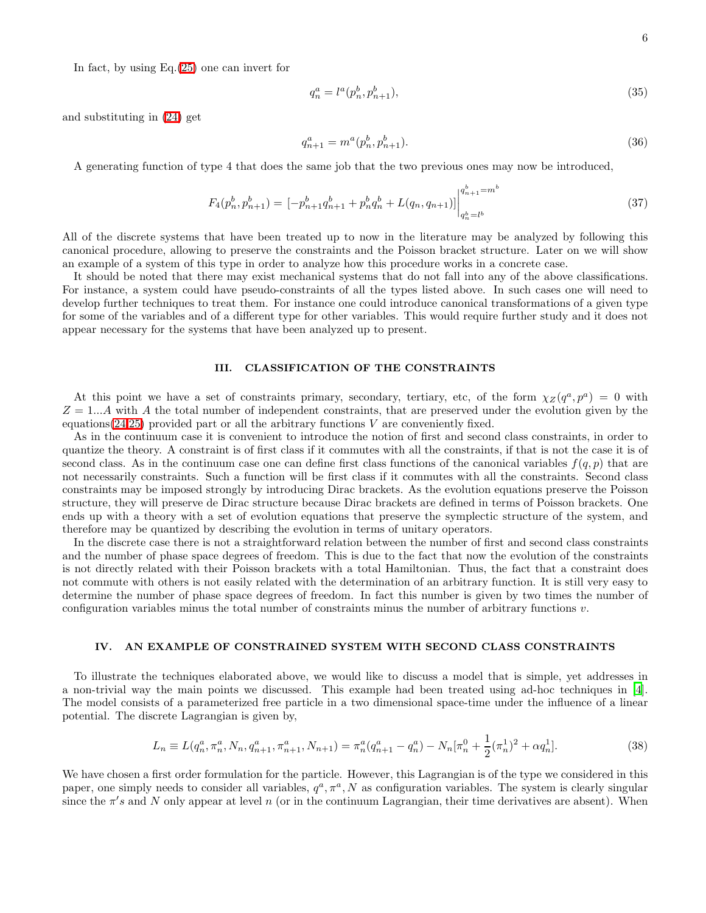In fact, by using Eq.[\(25\)](#page-4-5) one can invert for

$$
q_n^a = l^a(p_n^b, p_{n+1}^b),\tag{35}
$$

and substituting in [\(24\)](#page-4-4) get

$$
q_{n+1}^a = m^a(p_n^b, p_{n+1}^b). \tag{36}
$$

A generating function of type 4 that does the same job that the two previous ones may now be introduced,

$$
F_4(p_n^b, p_{n+1}^b) = \left[ -p_{n+1}^b q_{n+1}^b + p_n^b q_n^b + L(q_n, q_{n+1}) \right] \Big|_{q_n^b = l^b}^{q_{n+1}^b = m^b}
$$
\n
$$
(37)
$$

All of the discrete systems that have been treated up to now in the literature may be analyzed by following this canonical procedure, allowing to preserve the constraints and the Poisson bracket structure. Later on we will show an example of a system of this type in order to analyze how this procedure works in a concrete case.

It should be noted that there may exist mechanical systems that do not fall into any of the above classifications. For instance, a system could have pseudo-constraints of all the types listed above. In such cases one will need to develop further techniques to treat them. For instance one could introduce canonical transformations of a given type for some of the variables and of a different type for other variables. This would require further study and it does not appear necessary for the systems that have been analyzed up to present.

## III. CLASSIFICATION OF THE CONSTRAINTS

At this point we have a set of constraints primary, secondary, tertiary, etc, of the form  $\chi_Z(q^a, p^a) = 0$  with  $Z = 1...A$  with A the total number of independent constraints, that are preserved under the evolution given by the equations $(24,25)$  $(24,25)$  provided part or all the arbitrary functions V are conveniently fixed.

As in the continuum case it is convenient to introduce the notion of first and second class constraints, in order to quantize the theory. A constraint is of first class if it commutes with all the constraints, if that is not the case it is of second class. As in the continuum case one can define first class functions of the canonical variables  $f(q, p)$  that are not necessarily constraints. Such a function will be first class if it commutes with all the constraints. Second class constraints may be imposed strongly by introducing Dirac brackets. As the evolution equations preserve the Poisson structure, they will preserve de Dirac structure because Dirac brackets are defined in terms of Poisson brackets. One ends up with a theory with a set of evolution equations that preserve the symplectic structure of the system, and therefore may be quantized by describing the evolution in terms of unitary operators.

In the discrete case there is not a straightforward relation between the number of first and second class constraints and the number of phase space degrees of freedom. This is due to the fact that now the evolution of the constraints is not directly related with their Poisson brackets with a total Hamiltonian. Thus, the fact that a constraint does not commute with others is not easily related with the determination of an arbitrary function. It is still very easy to determine the number of phase space degrees of freedom. In fact this number is given by two times the number of configuration variables minus the total number of constraints minus the number of arbitrary functions v.

## IV. AN EXAMPLE OF CONSTRAINED SYSTEM WITH SECOND CLASS CONSTRAINTS

To illustrate the techniques elaborated above, we would like to discuss a model that is simple, yet addresses in a non-trivial way the main points we discussed. This example had been treated using ad-hoc techniques in [\[4\]](#page-11-3). The model consists of a parameterized free particle in a two dimensional space-time under the influence of a linear potential. The discrete Lagrangian is given by,

$$
L_n \equiv L(q_n^a, \pi_n^a, N_n, q_{n+1}^a, \pi_{n+1}^a, N_{n+1}) = \pi_n^a (q_{n+1}^a - q_n^a) - N_n [\pi_n^0 + \frac{1}{2} (\pi_n^1)^2 + \alpha q_n^1]. \tag{38}
$$

We have chosen a first order formulation for the particle. However, this Lagrangian is of the type we considered in this paper, one simply needs to consider all variables,  $q^a, \pi^a, N$  as configuration variables. The system is clearly singular since the  $\pi$ 's and N only appear at level n (or in the continuum Lagrangian, their time derivatives are absent). When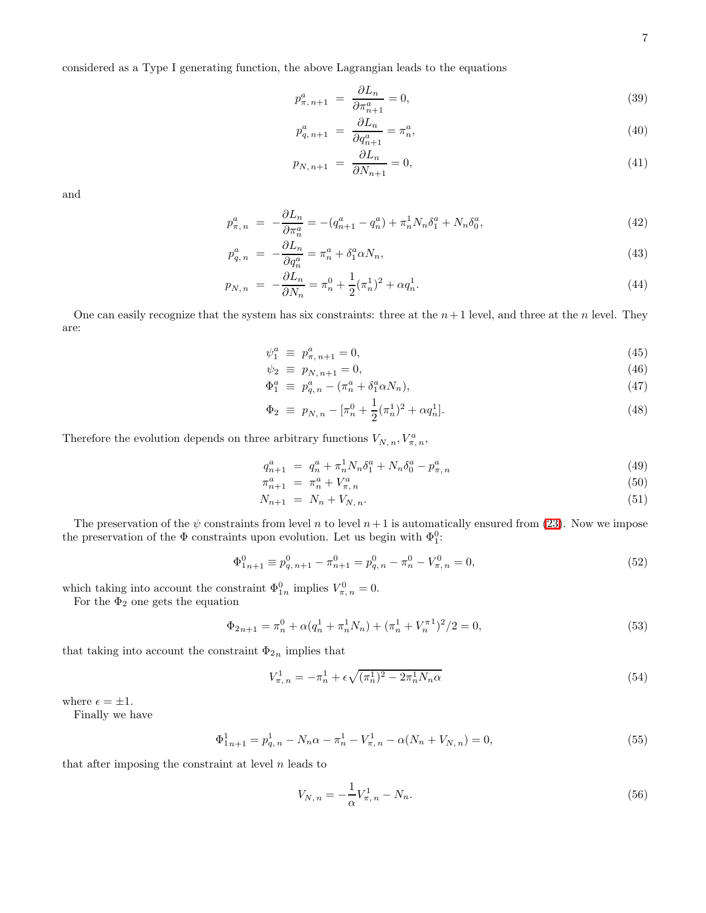7

considered as a Type I generating function, the above Lagrangian leads to the equations

<span id="page-7-0"></span>
$$
p_{\pi,n+1}^a = \frac{\partial L_n}{\partial \pi_{n+1}^a} = 0,\tag{39}
$$

$$
p_{q,n+1}^a = \frac{\partial L_n}{\partial q_{n+1}^a} = \pi_n^a,\tag{40}
$$

$$
p_{N,n+1} = \frac{\partial L_n}{\partial N_{n+1}} = 0,\tag{41}
$$

and

$$
p_{\pi,n}^a = -\frac{\partial L_n}{\partial \pi_n^a} = -(q_{n+1}^a - q_n^a) + \pi_n^1 N_n \delta_1^a + N_n \delta_0^a,
$$
\n(42)

$$
p_{q,n}^a = -\frac{\partial L_n}{\partial q_n^a} = \pi_n^a + \delta_1^a \alpha N_n,\tag{43}
$$

$$
p_{N,n} = -\frac{\partial L_n}{\partial N_n} = \pi_n^0 + \frac{1}{2} (\pi_n^1)^2 + \alpha q_n^1. \tag{44}
$$

One can easily recognize that the system has six constraints: three at the  $n+1$  level, and three at the n level. They are:

$$
\psi_1^a \equiv p_{\pi, n+1}^a = 0,\tag{45}
$$

$$
\psi_2 \equiv p_{N,n+1} = 0,\tag{46}
$$

$$
\Phi_1^a \equiv p_{q,n}^a - (\pi_n^a + \delta_1^a \alpha N_n), \tag{47}
$$

$$
\Phi_2 \equiv p_{N,n} - [\pi_n^0 + \frac{1}{2} (\pi_n^1)^2 + \alpha q_n^1]. \tag{48}
$$

Therefore the evolution depends on three arbitrary functions  $V_{N,n}, V_{\pi,n}^a$ ,

$$
q_{n+1}^a = q_n^a + \pi_n^1 N_n \delta_1^a + N_n \delta_0^a - p_{\pi,n}^a \tag{49}
$$

$$
\pi_{n+1}^a = \pi_n^a + V_{\pi,n}^a \tag{50}
$$

$$
N_{n+1} = N_n + V_{N,n}.\tag{51}
$$

The preservation of the  $\psi$  constraints from level n to level  $n+1$  is automatically ensured from [\(23\)](#page-4-2). Now we impose the preservation of the  $\Phi$  constraints upon evolution. Let us begin with  $\Phi_1^0$ :

$$
\Phi_{1n+1}^0 \equiv p_{q,n+1}^0 - \pi_{n+1}^0 = p_{q,n}^0 - \pi_n^0 - V_{\pi,n}^0 = 0,\tag{52}
$$

which taking into account the constraint  $\Phi_{1n}^0$  implies  $V_{\pi,n}^0 = 0$ .

For the  $\overline{\Phi_2}$  one gets the equation

$$
\Phi_{2n+1} = \pi_n^0 + \alpha (q_n^1 + \pi_n^1 N_n) + (\pi_n^1 + V_n^{\pi 1})^2 / 2 = 0,
$$
\n(53)

that taking into account the constraint  $\Phi_{2n}$  implies that

$$
V_{\pi,n}^1 = -\pi_n^1 + \epsilon \sqrt{(\pi_n^1)^2 - 2\pi_n^1 N_n \alpha}
$$
\n(54)

where  $\epsilon = \pm 1$ .

Finally we have

$$
\Phi_{1n+1}^1 = p_{q,n}^1 - N_n \alpha - \pi_n^1 - V_{\pi,n}^1 - \alpha (N_n + V_{N,n}) = 0,
$$
\n(55)

that after imposing the constraint at level  $n$  leads to

$$
V_{N,n} = -\frac{1}{\alpha} V_{\pi,n}^1 - N_n.
$$
\n(56)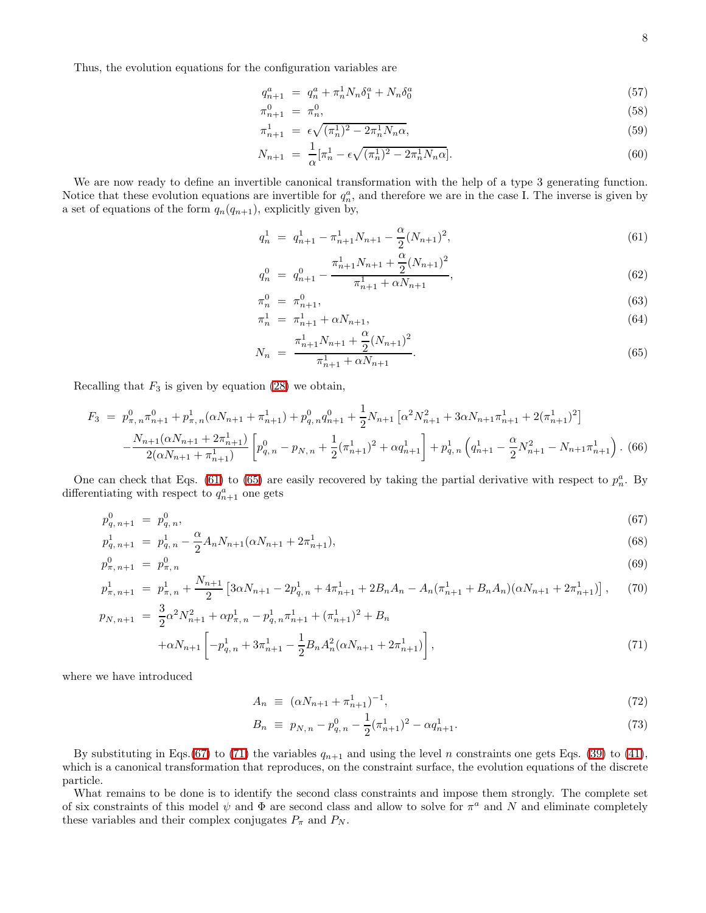Thus, the evolution equations for the configuration variables are

<span id="page-8-2"></span>
$$
q_{n+1}^a = q_n^a + \pi_n^1 N_n \delta_1^a + N_n \delta_0^a \tag{57}
$$

$$
\pi_{n+1}^0 = \pi_n^0,
$$
\n
$$
\pi_{n+1}^1 = \epsilon \sqrt{(\pi_n^1)^2 - 2\pi_n^1 N_n \alpha},
$$
\n(58)\n(59)

$$
N_{n+1} = \frac{1}{\alpha} [\pi_n^1 - \epsilon \sqrt{(\pi_n^1)^2 - 2\pi_n^1 N_n \alpha}].
$$
\n(60)

We are now ready to define an invertible canonical transformation with the help of a type 3 generating function. Notice that these evolution equations are invertible for  $q_n^a$ , and therefore we are in the case I. The inverse is given by a set of equations of the form  $q_n(q_{n+1})$ , explicitly given by,

<span id="page-8-0"></span>
$$
q_n^1 = q_{n+1}^1 - \pi_{n+1}^1 N_{n+1} - \frac{\alpha}{2} (N_{n+1})^2,
$$
\n(61)

$$
q_n^0 = q_{n+1}^0 - \frac{\pi_{n+1}^1 N_{n+1} + \frac{\alpha}{2} (N_{n+1})^2}{\pi_{n+1}^1 + \alpha N_{n+1}},
$$
\n(62)

$$
\pi_n^0 = \pi_{n+1}^0,\tag{63}
$$

$$
\pi_n^1 = \pi_{n+1}^1 + \alpha N_{n+1},
$$
\n
$$
\pi_{n+1}^1 \cdot N_{n+1} + \frac{\alpha}{\alpha} (N_{n+1})^2
$$
\n(64)

$$
N_n = \frac{\pi_{n+1}^1 N_{n+1} + \frac{\infty}{2} (N_{n+1})^2}{\pi_{n+1}^1 + \alpha N_{n+1}}.
$$
\n(65)

Recalling that  $F_3$  is given by equation [\(28\)](#page-5-1) we obtain,

$$
F_3 = p_{\pi,n}^0 \pi_{n+1}^0 + p_{\pi,n}^1 (\alpha N_{n+1} + \pi_{n+1}^1) + p_{q,n}^0 q_{n+1}^0 + \frac{1}{2} N_{n+1} [\alpha^2 N_{n+1}^2 + 3 \alpha N_{n+1} \pi_{n+1}^1 + 2(\pi_{n+1}^1)^2]
$$
  

$$
- \frac{N_{n+1} (\alpha N_{n+1} + 2 \pi_{n+1}^1)}{2(\alpha N_{n+1} + \pi_{n+1}^1)} \left[ p_{q,n}^0 - p_{N,n} + \frac{1}{2} (\pi_{n+1}^1)^2 + \alpha q_{n+1}^1 \right] + p_{q,n}^1 \left( q_{n+1}^1 - \frac{\alpha}{2} N_{n+1}^2 - N_{n+1} \pi_{n+1}^1 \right). \tag{66}
$$

<span id="page-8-1"></span>One can check that Eqs. [\(61\)](#page-8-0) to [\(65\)](#page-8-0) are easily recovered by taking the partial derivative with respect to  $p_n^a$ . By differentiating with respect to  $q_{n+1}^a$  one gets

$$
p_{q,n+1}^0 = p_{q,n}^0,\tag{67}
$$

$$
p_{q,n+1}^1 = p_{q,n}^1 - \frac{\alpha}{2} A_n N_{n+1} (\alpha N_{n+1} + 2\pi_{n+1}^1),
$$
\n(68)

$$
p_{\pi,n+1}^0 = p_{\pi,n}^0 \tag{69}
$$

$$
p_{\pi,n+1}^1 = p_{\pi,n}^1 + \frac{N_{n+1}}{2} \left[ 3\alpha N_{n+1} - 2p_{q,n}^1 + 4\pi_{n+1}^1 + 2B_n A_n - A_n (\pi_{n+1}^1 + B_n A_n)(\alpha N_{n+1} + 2\pi_{n+1}^1) \right], \tag{70}
$$

$$
p_{N,n+1} = \frac{3}{2} \alpha^2 N_{n+1}^2 + \alpha p_{\pi,n}^1 - p_{q,n}^1 \pi_{n+1}^1 + (\pi_{n+1}^1)^2 + B_n
$$
  
+  $\alpha N_{n+1} \left[ -p_{q,n}^1 + 3\pi_{n+1}^1 - \frac{1}{2} B_n A_n^2 (\alpha N_{n+1} + 2\pi_{n+1}^1) \right],$  (71)

where we have introduced

$$
A_n \equiv (\alpha N_{n+1} + \pi_{n+1}^1)^{-1}, \tag{72}
$$

$$
B_n \equiv p_{N,n} - p_{q,n}^0 - \frac{1}{2} (\pi_{n+1}^1)^2 - \alpha q_{n+1}^1. \tag{73}
$$

By substituting in Eqs. [\(67\)](#page-8-1) to [\(71\)](#page-8-1) the variables  $q_{n+1}$  and using the level n constraints one gets Eqs. [\(39\)](#page-7-0) to [\(41\)](#page-7-0), which is a canonical transformation that reproduces, on the constraint surface, the evolution equations of the discrete particle.

What remains to be done is to identify the second class constraints and impose them strongly. The complete set of six constraints of this model  $\psi$  and  $\Phi$  are second class and allow to solve for  $\pi^a$  and N and eliminate completely these variables and their complex conjugates  $P_{\pi}$  and  $P_N$ .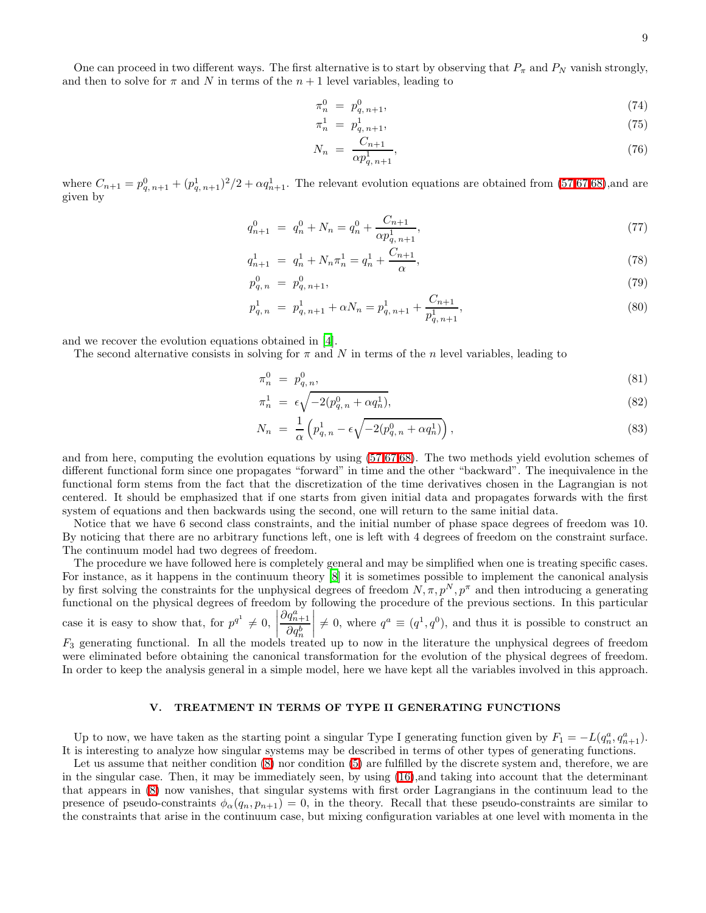One can proceed in two different ways. The first alternative is to start by observing that  $P_{\pi}$  and  $P_N$  vanish strongly, and then to solve for  $\pi$  and N in terms of the  $n+1$  level variables, leading to

$$
\pi_n^0 = p_{q, n+1}^0,\tag{74}
$$

$$
\pi_n^1 = p_{q, n+1}^1,\tag{75}
$$

$$
N_n = \frac{C_{n+1}}{\alpha p_{q,n+1}^1},\tag{76}
$$

where  $C_{n+1} = p_{q,n+1}^0 + (p_{q,n+1}^1)^2/2 + \alpha q_{n+1}^1$ . The relevant evolution equations are obtained from [\(57](#page-8-2)[,67,68\)](#page-8-1), and are given by

$$
q_{n+1}^0 = q_n^0 + N_n = q_n^0 + \frac{C_{n+1}}{\alpha p_{q,n+1}^1},\tag{77}
$$

$$
q_{n+1}^1 = q_n^1 + N_n \pi_n^1 = q_n^1 + \frac{C_{n+1}}{\alpha},
$$
\n(78)

$$
p_{q,n}^0 = p_{q,n+1}^0,\tag{79}
$$

$$
p_{q,n}^1 = p_{q,n+1}^1 + \alpha N_n = p_{q,n+1}^1 + \frac{C_{n+1}}{p_{q,n+1}^1},
$$
\n(80)

and we recover the evolution equations obtained in [\[4](#page-11-3)].

The second alternative consists in solving for  $\pi$  and N in terms of the n level variables, leading to

$$
\pi_n^0 = p_{q,n}^0, \tag{81}
$$

$$
\pi_n^1 = \epsilon \sqrt{-2(p_{q,n}^0 + \alpha q_n^1)},\tag{82}
$$

$$
N_n = \frac{1}{\alpha} \left( p_{q,n}^1 - \epsilon \sqrt{-2(p_{q,n}^0 + \alpha q_n^1)} \right), \tag{83}
$$

and from here, computing the evolution equations by using [\(57,](#page-8-2)[67,68\)](#page-8-1). The two methods yield evolution schemes of different functional form since one propagates "forward" in time and the other "backward". The inequivalence in the functional form stems from the fact that the discretization of the time derivatives chosen in the Lagrangian is not centered. It should be emphasized that if one starts from given initial data and propagates forwards with the first system of equations and then backwards using the second, one will return to the same initial data.

Notice that we have 6 second class constraints, and the initial number of phase space degrees of freedom was 10. By noticing that there are no arbitrary functions left, one is left with 4 degrees of freedom on the constraint surface. The continuum model had two degrees of freedom.

The procedure we have followed here is completely general and may be simplified when one is treating specific cases. For instance, as it happens in the continuum theory [\[8\]](#page-11-7) it is sometimes possible to implement the canonical analysis by first solving the constraints for the unphysical degrees of freedom  $N, \pi, p^N, p^{\pi}$  and then introducing a generating functional on the physical degrees of freedom by following the procedure of the previous sections. In this particular case it is easy to show that, for  $p^{q^1} \neq 0$ ,  $\begin{array}{c} \hline \end{array}$  $\partial q_{n+1}^{a}$  $\partial q^b_n$   $\neq$  0, where  $q^a \equiv (q^1, q^0)$ , and thus it is possible to construct an  $F_3$  generating functional. In all the models treated up to now in the literature the unphysical degrees of freedom were eliminated before obtaining the canonical transformation for the evolution of the physical degrees of freedom. In order to keep the analysis general in a simple model, here we have kept all the variables involved in this approach.

#### V. TREATMENT IN TERMS OF TYPE II GENERATING FUNCTIONS

Up to now, we have taken as the starting point a singular Type I generating function given by  $F_1 = -L(q_n^a, q_{n+1}^a)$ . It is interesting to analyze how singular systems may be described in terms of other types of generating functions.

Let us assume that neither condition  $(8)$  nor condition  $(5)$  are fulfilled by the discrete system and, therefore, we are in the singular case. Then, it may be immediately seen, by using [\(16\)](#page-3-1),and taking into account that the determinant that appears in [\(8\)](#page-3-0) now vanishes, that singular systems with first order Lagrangians in the continuum lead to the presence of pseudo-constraints  $\phi_{\alpha}(q_n, p_{n+1}) = 0$ , in the theory. Recall that these pseudo-constraints are similar to the constraints that arise in the continuum case, but mixing configuration variables at one level with momenta in the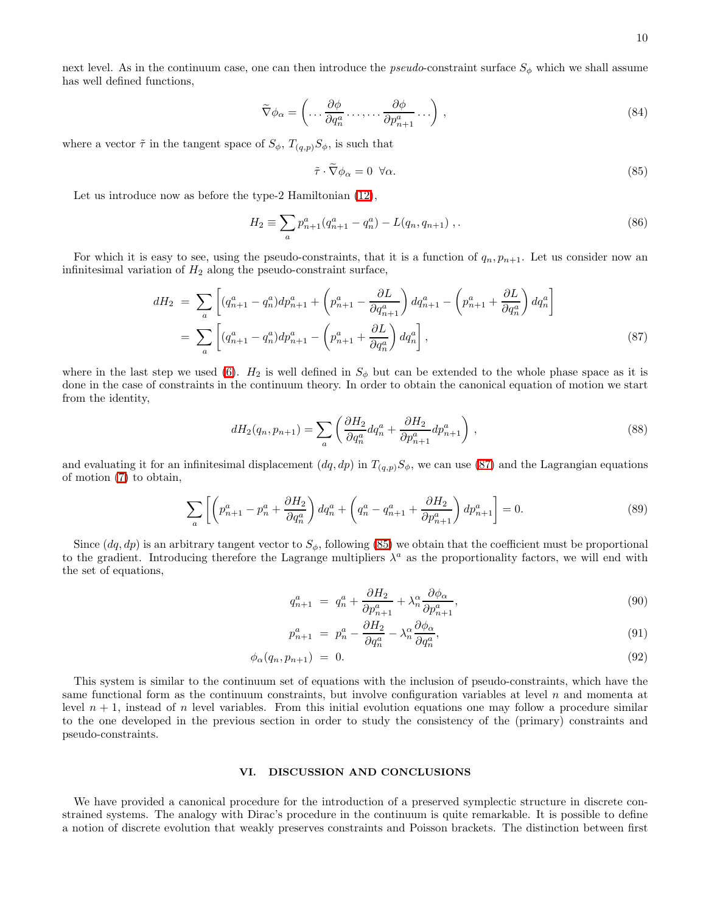next level. As in the continuum case, one can then introduce the *pseudo*-constraint surface  $S_{\phi}$  which we shall assume has well defined functions,

<span id="page-10-1"></span>
$$
\widetilde{\nabla}\phi_{\alpha} = \left(\dots \frac{\partial \phi}{\partial q_n^a} \dots, \dots \frac{\partial \phi}{\partial p_{n+1}^a} \dots\right),\tag{84}
$$

where a vector  $\tilde{\tau}$  in the tangent space of  $S_{\phi}$ ,  $T_{(q,p)}S_{\phi}$ , is such that

$$
\tilde{\tau} \cdot \tilde{\nabla} \phi_{\alpha} = 0 \quad \forall \alpha. \tag{85}
$$

Let us introduce now as before the type-2 Hamiltonian [\(12\)](#page-3-2),

$$
H_2 \equiv \sum_a p_{n+1}^a (q_{n+1}^a - q_n^a) - L(q_n, q_{n+1}), \qquad (86)
$$

<span id="page-10-0"></span>For which it is easy to see, using the pseudo-constraints, that it is a function of  $q_n, p_{n+1}$ . Let us consider now an infinitesimal variation of  $H_2$  along the pseudo-constraint surface,

$$
dH_2 = \sum_{a} \left[ (q_{n+1}^a - q_n^a) dp_{n+1}^a + \left( p_{n+1}^a - \frac{\partial L}{\partial q_{n+1}^a} \right) dq_{n+1}^a - \left( p_{n+1}^a + \frac{\partial L}{\partial q_n^a} \right) dq_n^a \right]
$$
  
= 
$$
\sum_{a} \left[ (q_{n+1}^a - q_n^a) dp_{n+1}^a - \left( p_{n+1}^a + \frac{\partial L}{\partial q_n^a} \right) dq_n^a \right],
$$
 (87)

where in the last step we used [\(6\)](#page-2-1).  $H_2$  is well defined in  $S_{\phi}$  but can be extended to the whole phase space as it is done in the case of constraints in the continuum theory. In order to obtain the canonical equation of motion we start from the identity,

$$
dH_2(q_n, p_{n+1}) = \sum_{a} \left( \frac{\partial H_2}{\partial q_n^a} dq_n^a + \frac{\partial H_2}{\partial p_{n+1}^a} dp_{n+1}^a \right), \qquad (88)
$$

and evaluating it for an infinitesimal displacement  $(dq, dp)$  in  $T_{(q,p)}S_{\phi}$ , we can use [\(87\)](#page-10-0) and the Lagrangian equations of motion [\(7\)](#page-2-1) to obtain,

$$
\sum_{a} \left[ \left( p_{n+1}^{a} - p_{n}^{a} + \frac{\partial H_2}{\partial q_n^{a}} \right) dq_n^{a} + \left( q_n^{a} - q_{n+1}^{a} + \frac{\partial H_2}{\partial p_{n+1}^{a}} \right) dp_{n+1}^{a} \right] = 0. \tag{89}
$$

Since  $(dq, dp)$  is an arbitrary tangent vector to  $S_{\phi}$ , following [\(85\)](#page-10-1) we obtain that the coefficient must be proportional to the gradient. Introducing therefore the Lagrange multipliers  $\lambda^a$  as the proportionality factors, we will end with the set of equations,

$$
q_{n+1}^a = q_n^a + \frac{\partial H_2}{\partial p_{n+1}^a} + \lambda_n^\alpha \frac{\partial \phi_\alpha}{\partial p_{n+1}^a},\tag{90}
$$

$$
p_{n+1}^a = p_n^a - \frac{\partial H_2}{\partial q_n^a} - \lambda_n^\alpha \frac{\partial \phi_\alpha}{\partial q_n^a},\tag{91}
$$

$$
\phi_{\alpha}(q_n, p_{n+1}) = 0. \tag{92}
$$

This system is similar to the continuum set of equations with the inclusion of pseudo-constraints, which have the same functional form as the continuum constraints, but involve configuration variables at level  $n$  and momenta at level  $n + 1$ , instead of n level variables. From this initial evolution equations one may follow a procedure similar to the one developed in the previous section in order to study the consistency of the (primary) constraints and pseudo-constraints.

## VI. DISCUSSION AND CONCLUSIONS

We have provided a canonical procedure for the introduction of a preserved symplectic structure in discrete constrained systems. The analogy with Dirac's procedure in the continuum is quite remarkable. It is possible to define a notion of discrete evolution that weakly preserves constraints and Poisson brackets. The distinction between first